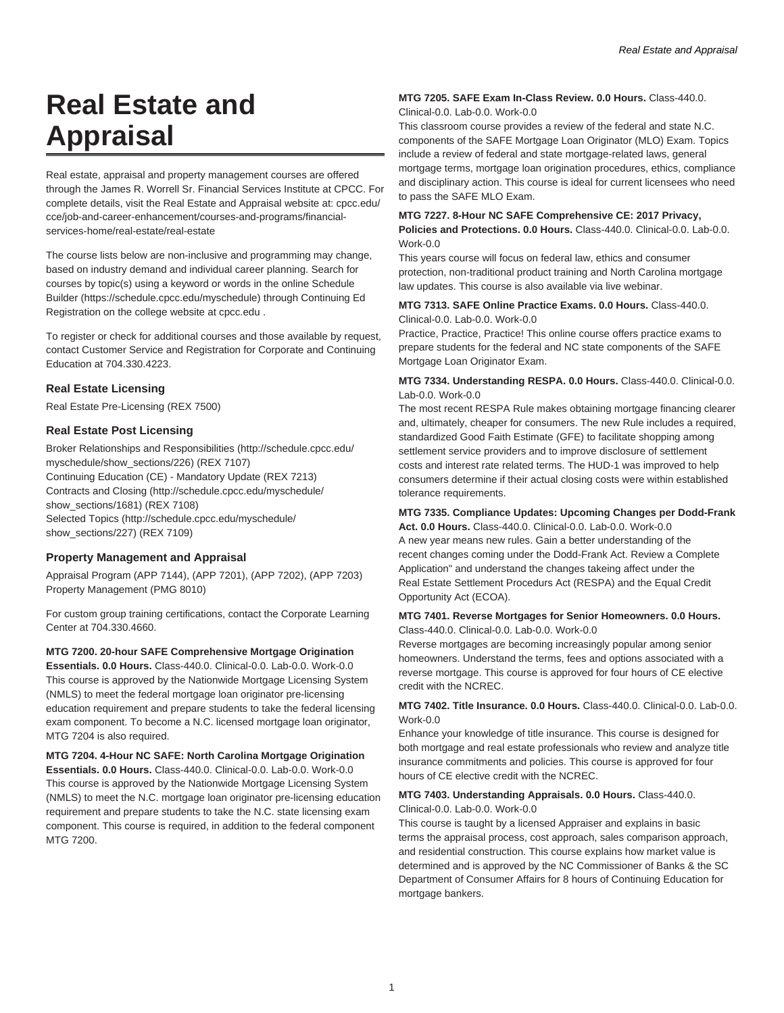# **Real Estate and Appraisal**

Real estate, appraisal and property management courses are offered through the James R. Worrell Sr. Financial Services Institute at CPCC. For complete details, visit the Real Estate and Appraisal website at: cpcc.edu/ cce/job-and-career-enhancement/courses-and-programs/financialservices-home/real-estate/real-estate

The course lists below are non-inclusive and programming may change, based on industry demand and individual career planning. Search for courses by topic(s) using a keyword or words in the online Schedule Builder (https://schedule.cpcc.edu/myschedule) through Continuing Ed Registration on the college website at cpcc.edu .

To register or check for additional courses and those available by request, contact Customer Service and Registration for Corporate and Continuing Education at 704.330.4223.

# **Real Estate Licensing**

Real Estate Pre-Licensing (REX 7500)

# **Real Estate Post Licensing**

Broker Relationships and Responsibilities (http://schedule.cpcc.edu/ myschedule/show\_sections/226) (REX 7107) Continuing Education (CE) - Mandatory Update (REX 7213) Contracts and Closing (http://schedule.cpcc.edu/myschedule/ show\_sections/1681) (REX 7108) Selected Topics (http://schedule.cpcc.edu/myschedule/ show\_sections/227) (REX 7109)

# **Property Management and Appraisal**

Appraisal Program (APP 7144), (APP 7201), (APP 7202), (APP 7203) Property Management (PMG 8010)

For custom group training certifications, contact the Corporate Learning Center at 704.330.4660.

#### **MTG 7200. 20-hour SAFE Comprehensive Mortgage Origination**

**Essentials. 0.0 Hours.** Class-440.0. Clinical-0.0. Lab-0.0. Work-0.0 This course is approved by the Nationwide Mortgage Licensing System (NMLS) to meet the federal mortgage loan originator pre-licensing education requirement and prepare students to take the federal licensing exam component. To become a N.C. licensed mortgage loan originator, MTG 7204 is also required.

**MTG 7204. 4-Hour NC SAFE: North Carolina Mortgage Origination Essentials. 0.0 Hours.** Class-440.0. Clinical-0.0. Lab-0.0. Work-0.0 This course is approved by the Nationwide Mortgage Licensing System (NMLS) to meet the N.C. mortgage loan originator pre-licensing education requirement and prepare students to take the N.C. state licensing exam component. This course is required, in addition to the federal component MTG 7200.

#### **MTG 7205. SAFE Exam In-Class Review. 0.0 Hours.** Class-440.0. Clinical-0.0. Lab-0.0. Work-0.0

This classroom course provides a review of the federal and state N.C. components of the SAFE Mortgage Loan Originator (MLO) Exam. Topics include a review of federal and state mortgage-related laws, general mortgage terms, mortgage loan origination procedures, ethics, compliance and disciplinary action. This course is ideal for current licensees who need to pass the SAFE MLO Exam.

#### **MTG 7227. 8-Hour NC SAFE Comprehensive CE: 2017 Privacy,**

**Policies and Protections. 0.0 Hours.** Class-440.0. Clinical-0.0. Lab-0.0. Work-0.0

This years course will focus on federal law, ethics and consumer protection, non-traditional product training and North Carolina mortgage law updates. This course is also available via live webinar.

#### **MTG 7313. SAFE Online Practice Exams. 0.0 Hours.** Class-440.0. Clinical-0.0. Lab-0.0. Work-0.0

Practice, Practice, Practice! This online course offers practice exams to prepare students for the federal and NC state components of the SAFE Mortgage Loan Originator Exam.

#### **MTG 7334. Understanding RESPA. 0.0 Hours.** Class-440.0. Clinical-0.0. Lab-0.0. Work-0.0

The most recent RESPA Rule makes obtaining mortgage financing clearer and, ultimately, cheaper for consumers. The new Rule includes a required, standardized Good Faith Estimate (GFE) to facilitate shopping among settlement service providers and to improve disclosure of settlement costs and interest rate related terms. The HUD-1 was improved to help consumers determine if their actual closing costs were within established tolerance requirements.

# **MTG 7335. Compliance Updates: Upcoming Changes per Dodd-Frank**

**Act. 0.0 Hours.** Class-440.0. Clinical-0.0. Lab-0.0. Work-0.0 A new year means new rules. Gain a better understanding of the recent changes coming under the Dodd-Frank Act. Review a Complete Application" and understand the changes takeing affect under the Real Estate Settlement Procedurs Act (RESPA) and the Equal Credit Opportunity Act (ECOA).

#### **MTG 7401. Reverse Mortgages for Senior Homeowners. 0.0 Hours.** Class-440.0. Clinical-0.0. Lab-0.0. Work-0.0

Reverse mortgages are becoming increasingly popular among senior homeowners. Understand the terms, fees and options associated with a reverse mortgage. This course is approved for four hours of CE elective credit with the NCREC.

# **MTG 7402. Title Insurance. 0.0 Hours.** Class-440.0. Clinical-0.0. Lab-0.0. Work-0.0

Enhance your knowledge of title insurance. This course is designed for both mortgage and real estate professionals who review and analyze title insurance commitments and policies. This course is approved for four hours of CE elective credit with the NCREC.

# **MTG 7403. Understanding Appraisals. 0.0 Hours.** Class-440.0. Clinical-0.0. Lab-0.0. Work-0.0

This course is taught by a licensed Appraiser and explains in basic terms the appraisal process, cost approach, sales comparison approach, and residential construction. This course explains how market value is determined and is approved by the NC Commissioner of Banks & the SC Department of Consumer Affairs for 8 hours of Continuing Education for mortgage bankers.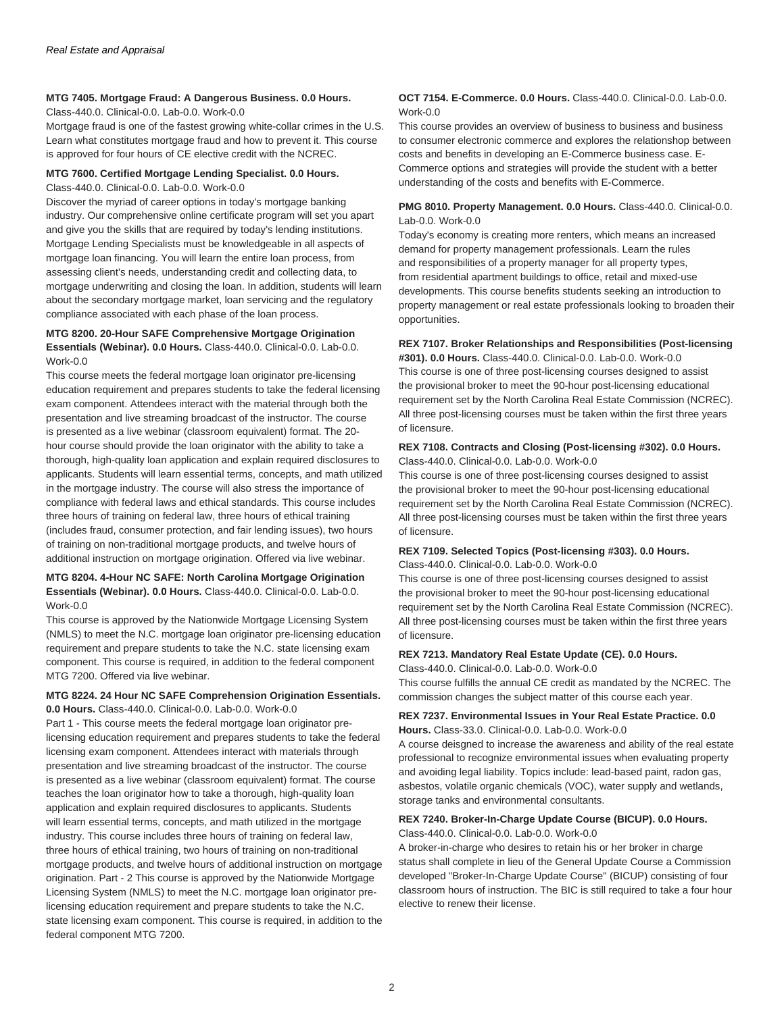## **MTG 7405. Mortgage Fraud: A Dangerous Business. 0.0 Hours.**

#### Class-440.0. Clinical-0.0. Lab-0.0. Work-0.0

Mortgage fraud is one of the fastest growing white-collar crimes in the U.S. Learn what constitutes mortgage fraud and how to prevent it. This course is approved for four hours of CE elective credit with the NCREC.

#### **MTG 7600. Certified Mortgage Lending Specialist. 0.0 Hours.** Class-440.0. Clinical-0.0. Lab-0.0. Work-0.0

Discover the myriad of career options in today's mortgage banking industry. Our comprehensive online certificate program will set you apart and give you the skills that are required by today's lending institutions. Mortgage Lending Specialists must be knowledgeable in all aspects of mortgage loan financing. You will learn the entire loan process, from assessing client's needs, understanding credit and collecting data, to mortgage underwriting and closing the loan. In addition, students will learn about the secondary mortgage market, loan servicing and the regulatory compliance associated with each phase of the loan process.

#### **MTG 8200. 20-Hour SAFE Comprehensive Mortgage Origination Essentials (Webinar). 0.0 Hours.** Class-440.0. Clinical-0.0. Lab-0.0. Work-0.0

This course meets the federal mortgage loan originator pre-licensing education requirement and prepares students to take the federal licensing exam component. Attendees interact with the material through both the presentation and live streaming broadcast of the instructor. The course is presented as a live webinar (classroom equivalent) format. The 20 hour course should provide the loan originator with the ability to take a thorough, high-quality loan application and explain required disclosures to applicants. Students will learn essential terms, concepts, and math utilized in the mortgage industry. The course will also stress the importance of compliance with federal laws and ethical standards. This course includes three hours of training on federal law, three hours of ethical training (includes fraud, consumer protection, and fair lending issues), two hours of training on non-traditional mortgage products, and twelve hours of additional instruction on mortgage origination. Offered via live webinar.

# **MTG 8204. 4-Hour NC SAFE: North Carolina Mortgage Origination Essentials (Webinar). 0.0 Hours.** Class-440.0. Clinical-0.0. Lab-0.0. Work-0.0

This course is approved by the Nationwide Mortgage Licensing System (NMLS) to meet the N.C. mortgage loan originator pre-licensing education requirement and prepare students to take the N.C. state licensing exam component. This course is required, in addition to the federal component MTG 7200. Offered via live webinar.

#### **MTG 8224. 24 Hour NC SAFE Comprehension Origination Essentials. 0.0 Hours.** Class-440.0. Clinical-0.0. Lab-0.0. Work-0.0

Part 1 - This course meets the federal mortgage loan originator prelicensing education requirement and prepares students to take the federal licensing exam component. Attendees interact with materials through presentation and live streaming broadcast of the instructor. The course is presented as a live webinar (classroom equivalent) format. The course teaches the loan originator how to take a thorough, high-quality loan application and explain required disclosures to applicants. Students will learn essential terms, concepts, and math utilized in the mortgage industry. This course includes three hours of training on federal law, three hours of ethical training, two hours of training on non-traditional mortgage products, and twelve hours of additional instruction on mortgage origination. Part - 2 This course is approved by the Nationwide Mortgage Licensing System (NMLS) to meet the N.C. mortgage loan originator prelicensing education requirement and prepare students to take the N.C. state licensing exam component. This course is required, in addition to the federal component MTG 7200.

#### **OCT 7154. E-Commerce. 0.0 Hours.** Class-440.0. Clinical-0.0. Lab-0.0. Work-0.0

This course provides an overview of business to business and business to consumer electronic commerce and explores the relationshop between costs and benefits in developing an E-Commerce business case. E-Commerce options and strategies will provide the student with a better understanding of the costs and benefits with E-Commerce.

### **PMG 8010. Property Management. 0.0 Hours.** Class-440.0. Clinical-0.0. Lab-0.0. Work-0.0

Today's economy is creating more renters, which means an increased demand for property management professionals. Learn the rules and responsibilities of a property manager for all property types, from residential apartment buildings to office, retail and mixed-use developments. This course benefits students seeking an introduction to property management or real estate professionals looking to broaden their opportunities.

# **REX 7107. Broker Relationships and Responsibilities (Post-licensing**

**#301). 0.0 Hours.** Class-440.0. Clinical-0.0. Lab-0.0. Work-0.0 This course is one of three post-licensing courses designed to assist the provisional broker to meet the 90-hour post-licensing educational requirement set by the North Carolina Real Estate Commission (NCREC). All three post-licensing courses must be taken within the first three years of licensure.

#### **REX 7108. Contracts and Closing (Post-licensing #302). 0.0 Hours.** Class-440.0. Clinical-0.0. Lab-0.0. Work-0.0

This course is one of three post-licensing courses designed to assist the provisional broker to meet the 90-hour post-licensing educational requirement set by the North Carolina Real Estate Commission (NCREC). All three post-licensing courses must be taken within the first three years of licensure.

# **REX 7109. Selected Topics (Post-licensing #303). 0.0 Hours.**

Class-440.0. Clinical-0.0. Lab-0.0. Work-0.0

This course is one of three post-licensing courses designed to assist the provisional broker to meet the 90-hour post-licensing educational requirement set by the North Carolina Real Estate Commission (NCREC). All three post-licensing courses must be taken within the first three years of licensure.

#### **REX 7213. Mandatory Real Estate Update (CE). 0.0 Hours.**

Class-440.0. Clinical-0.0. Lab-0.0. Work-0.0

This course fulfills the annual CE credit as mandated by the NCREC. The commission changes the subject matter of this course each year.

# **REX 7237. Environmental Issues in Your Real Estate Practice. 0.0 Hours.** Class-33.0. Clinical-0.0. Lab-0.0. Work-0.0

A course deisgned to increase the awareness and ability of the real estate professional to recognize environmental issues when evaluating property and avoiding legal liability. Topics include: lead-based paint, radon gas, asbestos, volatile organic chemicals (VOC), water supply and wetlands, storage tanks and environmental consultants.

#### **REX 7240. Broker-In-Charge Update Course (BICUP). 0.0 Hours.**

Class-440.0. Clinical-0.0. Lab-0.0. Work-0.0

A broker-in-charge who desires to retain his or her broker in charge status shall complete in lieu of the General Update Course a Commission developed "Broker-In-Charge Update Course" (BICUP) consisting of four classroom hours of instruction. The BIC is still required to take a four hour elective to renew their license.